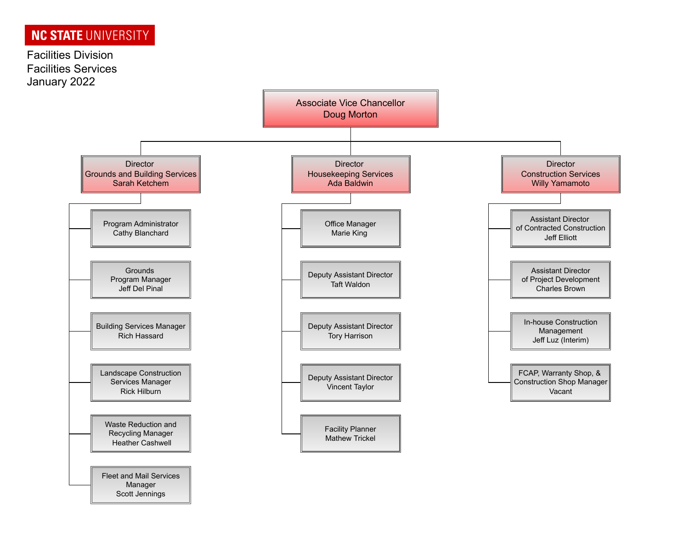Scott Jennings

Facilities Division Facilities Services January 2022

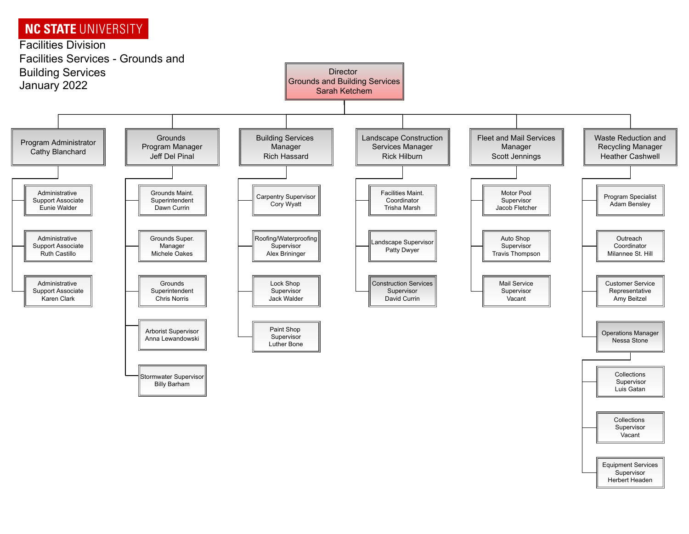

Vacant

**Equipment Services** Supervisor Herbert Headen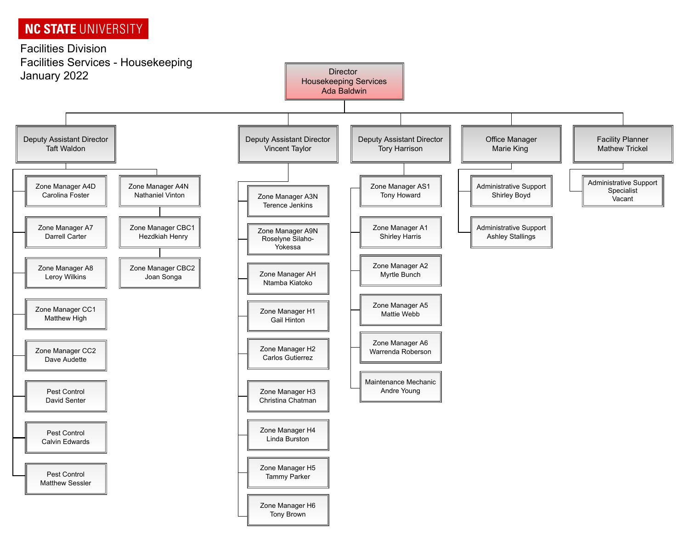